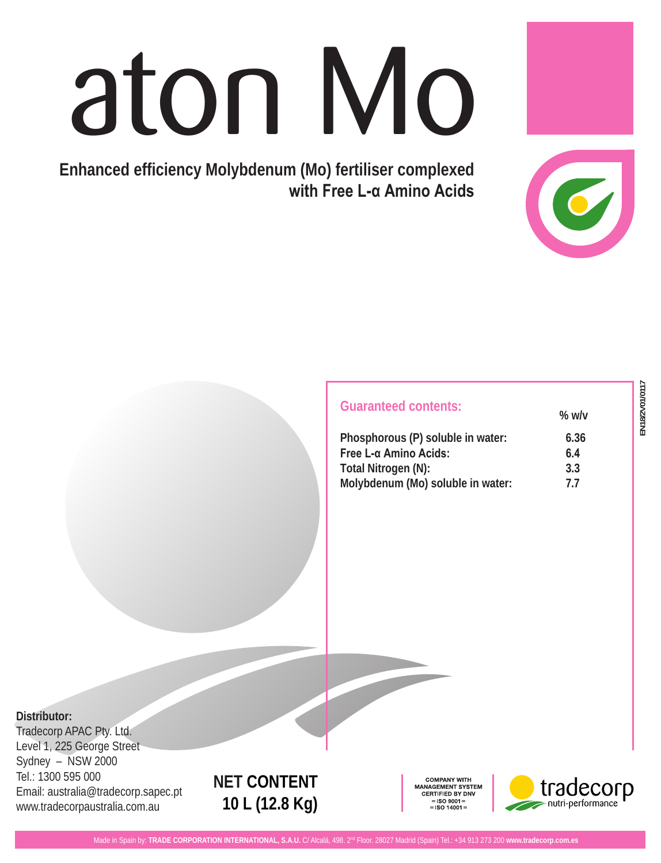# aton Mo

**Enhanced efficiency Molybdenum (Mo) fertiliser complexed with Free L-α Amino Acids**

| $%$ w/v |
|---------|
| 6.36    |
| 6.4     |
| 3.3     |
| 77      |
|         |

**Distributor:**

Tradecorp APAC Pty. Ltd. Level 1, 225 George Street Sydney – NSW 2000 Tel.: 1300 595 000 Email: australia@tradecorp.sapec.pt www.tradecorpaustralia.com.au

# **NET CONTENT 10 L (12.8 Kg)**

COMPANY WITH **MANAGEMENT SYSTEM** CERTIFIED BY DNV  $\equiv$  ISO 9001 $\equiv$